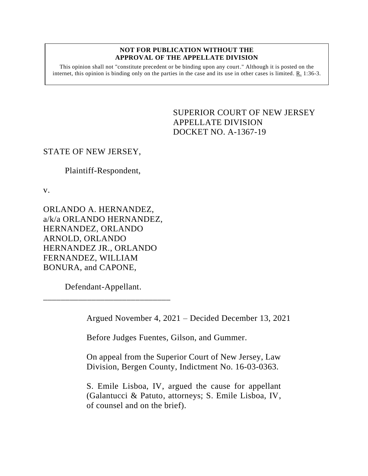#### **NOT FOR PUBLICATION WITHOUT THE APPROVAL OF THE APPELLATE DIVISION**

This opinion shall not "constitute precedent or be binding upon any court." Although it is posted on the internet, this opinion is binding only on the parties in the case and its use in other cases is limited.  $R_1$  1:36-3.

> <span id="page-0-0"></span>SUPERIOR COURT OF NEW JERSEY APPELLATE DIVISION DOCKET NO. A-1367-19

# STATE OF NEW JERSEY,

Plaintiff-Respondent,

v.

ORLANDO A. HERNANDEZ, a/k/a ORLANDO HERNANDEZ, HERNANDEZ, ORLANDO ARNOLD, ORLANDO HERNANDEZ JR., ORLANDO FERNANDEZ, WILLIAM BONURA, and CAPONE,

Defendant-Appellant. \_\_\_\_\_\_\_\_\_\_\_\_\_\_\_\_\_\_\_\_\_\_\_\_\_\_\_\_\_

Argued November 4, 2021 – Decided December 13, 2021

Before Judges Fuentes, Gilson, and Gummer.

On appeal from the Superior Court of New Jersey, Law Division, Bergen County, Indictment No. 16-03-0363.

S. Emile Lisboa, IV, argued the cause for appellant (Galantucci & Patuto, attorneys; S. Emile Lisboa, IV, of counsel and on the brief).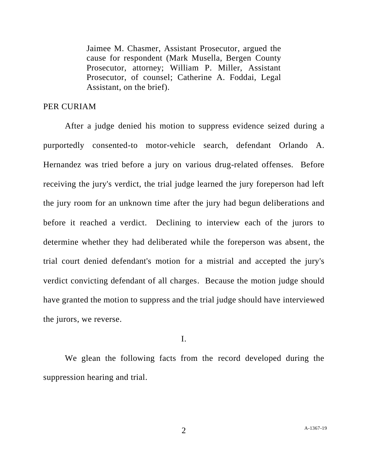Jaimee M. Chasmer, Assistant Prosecutor, argued the cause for respondent (Mark Musella, Bergen County Prosecutor, attorney; William P. Miller, Assistant Prosecutor, of counsel; Catherine A. Foddai, Legal Assistant, on the brief).

# PER CURIAM

After a judge denied his motion to suppress evidence seized during a purportedly consented-to motor-vehicle search, defendant Orlando A. Hernandez was tried before a jury on various drug-related offenses. Before receiving the jury's verdict, the trial judge learned the jury foreperson had left the jury room for an unknown time after the jury had begun deliberations and before it reached a verdict. Declining to interview each of the jurors to determine whether they had deliberated while the foreperson was absent, the trial court denied defendant's motion for a mistrial and accepted the jury's verdict convicting defendant of all charges. Because the motion judge should have granted the motion to suppress and the trial judge should have interviewed the jurors, we reverse.

## I.

We glean the following facts from the record developed during the suppression hearing and trial.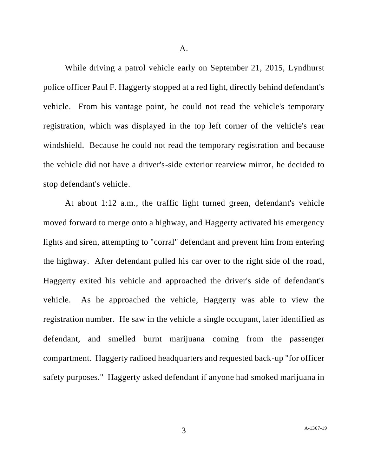While driving a patrol vehicle early on September 21, 2015, Lyndhurst police officer Paul F. Haggerty stopped at a red light, directly behind defendant's vehicle. From his vantage point, he could not read the vehicle's temporary registration, which was displayed in the top left corner of the vehicle's rear windshield. Because he could not read the temporary registration and because the vehicle did not have a driver's-side exterior rearview mirror, he decided to stop defendant's vehicle.

At about 1:12 a.m., the traffic light turned green, defendant's vehicle moved forward to merge onto a highway, and Haggerty activated his emergency lights and siren, attempting to "corral" defendant and prevent him from entering the highway. After defendant pulled his car over to the right side of the road, Haggerty exited his vehicle and approached the driver's side of defendant's vehicle. As he approached the vehicle, Haggerty was able to view the registration number. He saw in the vehicle a single occupant, later identified as defendant, and smelled burnt marijuana coming from the passenger compartment. Haggerty radioed headquarters and requested back-up "for officer safety purposes." Haggerty asked defendant if anyone had smoked marijuana in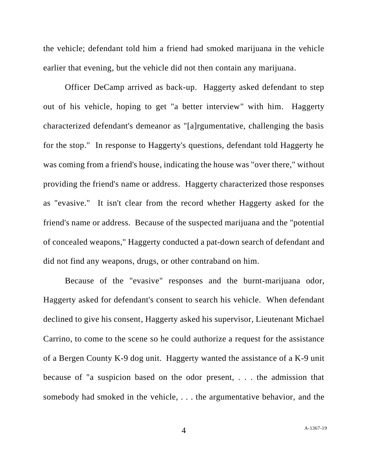the vehicle; defendant told him a friend had smoked marijuana in the vehicle earlier that evening, but the vehicle did not then contain any marijuana.

Officer DeCamp arrived as back-up. Haggerty asked defendant to step out of his vehicle, hoping to get "a better interview" with him. Haggerty characterized defendant's demeanor as "[a]rgumentative, challenging the basis for the stop." In response to Haggerty's questions, defendant told Haggerty he was coming from a friend's house, indicating the house was "over there," without providing the friend's name or address. Haggerty characterized those responses as "evasive." It isn't clear from the record whether Haggerty asked for the friend's name or address. Because of the suspected marijuana and the "potential of concealed weapons," Haggerty conducted a pat-down search of defendant and did not find any weapons, drugs, or other contraband on him.

Because of the "evasive" responses and the burnt-marijuana odor, Haggerty asked for defendant's consent to search his vehicle. When defendant declined to give his consent, Haggerty asked his supervisor, Lieutenant Michael Carrino, to come to the scene so he could authorize a request for the assistance of a Bergen County K-9 dog unit. Haggerty wanted the assistance of a K-9 unit because of "a suspicion based on the odor present, . . . the admission that somebody had smoked in the vehicle, . . . the argumentative behavior, and the

4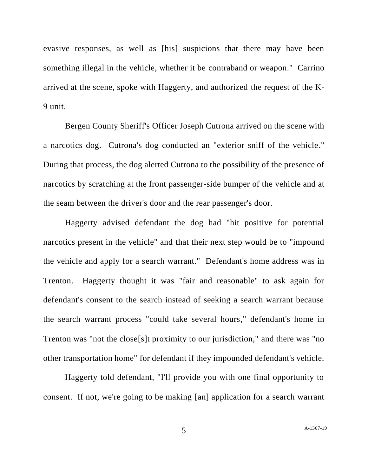evasive responses, as well as [his] suspicions that there may have been something illegal in the vehicle, whether it be contraband or weapon." Carrino arrived at the scene, spoke with Haggerty, and authorized the request of the K-9 unit.

Bergen County Sheriff's Officer Joseph Cutrona arrived on the scene with a narcotics dog. Cutrona's dog conducted an "exterior sniff of the vehicle." During that process, the dog alerted Cutrona to the possibility of the presence of narcotics by scratching at the front passenger-side bumper of the vehicle and at the seam between the driver's door and the rear passenger's door.

Haggerty advised defendant the dog had "hit positive for potential narcotics present in the vehicle" and that their next step would be to "impound the vehicle and apply for a search warrant." Defendant's home address was in Trenton. Haggerty thought it was "fair and reasonable" to ask again for defendant's consent to the search instead of seeking a search warrant because the search warrant process "could take several hours," defendant's home in Trenton was "not the close[s]t proximity to our jurisdiction," and there was "no other transportation home" for defendant if they impounded defendant's vehicle.

Haggerty told defendant, "I'll provide you with one final opportunity to consent. If not, we're going to be making [an] application for a search warrant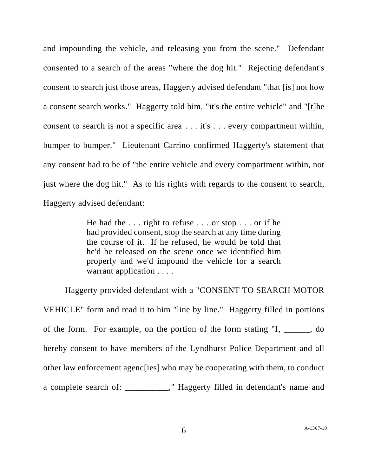and impounding the vehicle, and releasing you from the scene." Defendant consented to a search of the areas "where the dog hit." Rejecting defendant's consent to search just those areas, Haggerty advised defendant "that [is] not how a consent search works." Haggerty told him, "it's the entire vehicle" and "[t]he consent to search is not a specific area . . . it's . . . every compartment within, bumper to bumper." Lieutenant Carrino confirmed Haggerty's statement that any consent had to be of "the entire vehicle and every compartment within, not just where the dog hit." As to his rights with regards to the consent to search, Haggerty advised defendant:

> He had the . . . right to refuse . . . or stop . . . or if he had provided consent, stop the search at any time during the course of it. If he refused, he would be told that he'd be released on the scene once we identified him properly and we'd impound the vehicle for a search warrant application . . . .

Haggerty provided defendant with a "CONSENT TO SEARCH MOTOR VEHICLE" form and read it to him "line by line." Haggerty filled in portions of the form. For example, on the portion of the form stating "I, \_\_\_\_\_\_, do hereby consent to have members of the Lyndhurst Police Department and all other law enforcement agenc[ies] who may be cooperating with them, to conduct a complete search of: \_\_\_\_\_\_\_\_\_\_," Haggerty filled in defendant's name and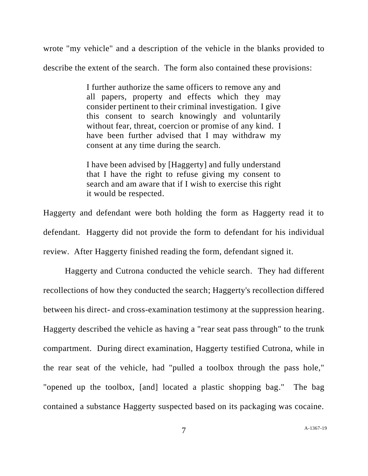wrote "my vehicle" and a description of the vehicle in the blanks provided to describe the extent of the search. The form also contained these provisions:

> I further authorize the same officers to remove any and all papers, property and effects which they may consider pertinent to their criminal investigation. I give this consent to search knowingly and voluntarily without fear, threat, coercion or promise of any kind. I have been further advised that I may withdraw my consent at any time during the search.

> I have been advised by [Haggerty] and fully understand that I have the right to refuse giving my consent to search and am aware that if I wish to exercise this right it would be respected.

Haggerty and defendant were both holding the form as Haggerty read it to defendant. Haggerty did not provide the form to defendant for his individual review. After Haggerty finished reading the form, defendant signed it.

Haggerty and Cutrona conducted the vehicle search. They had different recollections of how they conducted the search; Haggerty's recollection differed between his direct- and cross-examination testimony at the suppression hearing. Haggerty described the vehicle as having a "rear seat pass through" to the trunk compartment. During direct examination, Haggerty testified Cutrona, while in the rear seat of the vehicle, had "pulled a toolbox through the pass hole," "opened up the toolbox, [and] located a plastic shopping bag." The bag contained a substance Haggerty suspected based on its packaging was cocaine.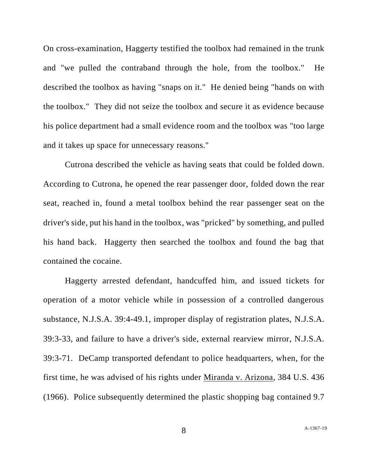On cross-examination, Haggerty testified the toolbox had remained in the trunk and "we pulled the contraband through the hole, from the toolbox." He described the toolbox as having "snaps on it." He denied being "hands on with the toolbox." They did not seize the toolbox and secure it as evidence because his police department had a small evidence room and the toolbox was "too large and it takes up space for unnecessary reasons."

Cutrona described the vehicle as having seats that could be folded down. According to Cutrona, he opened the rear passenger door, folded down the rear seat, reached in, found a metal toolbox behind the rear passenger seat on the driver's side, put his hand in the toolbox, was "pricked" by something, and pulled his hand back. Haggerty then searched the toolbox and found the bag that contained the cocaine.

Haggerty arrested defendant, handcuffed him, and issued tickets for operation of a motor vehicle while in possession of a controlled dangerous substance, N.J.S.A. 39:4-49.1, improper display of registration plates, N.J.S.A. 39:3-33, and failure to have a driver's side, external rearview mirror, N.J.S.A. 39:3-71. DeCamp transported defendant to police headquarters, when, for the first time, he was advised of his rights under Miranda v. Arizona, 384 U.S. 436 (1966). Police subsequently determined the plastic shopping bag contained 9.7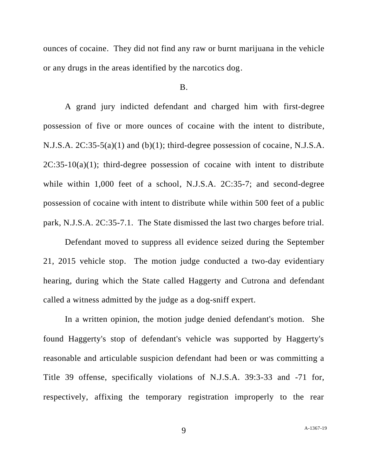ounces of cocaine. They did not find any raw or burnt marijuana in the vehicle or any drugs in the areas identified by the narcotics dog.

### B.

A grand jury indicted defendant and charged him with first-degree possession of five or more ounces of cocaine with the intent to distribute, N.J.S.A. 2C:35-5(a)(1) and (b)(1); third-degree possession of cocaine, N.J.S.A.  $2C:35-10(a)(1)$ ; third-degree possession of cocaine with intent to distribute while within 1,000 feet of a school, N.J.S.A. 2C:35-7; and second-degree possession of cocaine with intent to distribute while within 500 feet of a public park, N.J.S.A. 2C:35-7.1. The State dismissed the last two charges before trial.

Defendant moved to suppress all evidence seized during the September 21, 2015 vehicle stop. The motion judge conducted a two-day evidentiary hearing, during which the State called Haggerty and Cutrona and defendant called a witness admitted by the judge as a dog-sniff expert.

In a written opinion, the motion judge denied defendant's motion. She found Haggerty's stop of defendant's vehicle was supported by Haggerty's reasonable and articulable suspicion defendant had been or was committing a Title 39 offense, specifically violations of N.J.S.A. 39:3-33 and -71 for, respectively, affixing the temporary registration improperly to the rear

9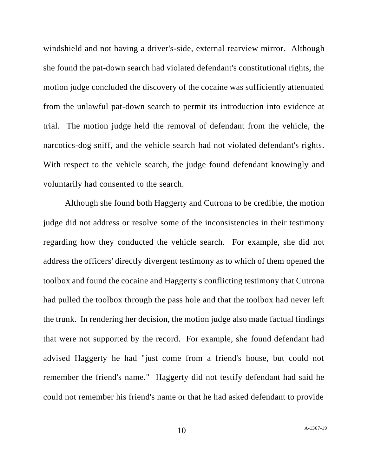windshield and not having a driver's-side, external rearview mirror. Although she found the pat-down search had violated defendant's constitutional rights, the motion judge concluded the discovery of the cocaine was sufficiently attenuated from the unlawful pat-down search to permit its introduction into evidence at trial. The motion judge held the removal of defendant from the vehicle, the narcotics-dog sniff, and the vehicle search had not violated defendant's rights. With respect to the vehicle search, the judge found defendant knowingly and voluntarily had consented to the search.

Although she found both Haggerty and Cutrona to be credible, the motion judge did not address or resolve some of the inconsistencies in their testimony regarding how they conducted the vehicle search. For example, she did not address the officers' directly divergent testimony as to which of them opened the toolbox and found the cocaine and Haggerty's conflicting testimony that Cutrona had pulled the toolbox through the pass hole and that the toolbox had never left the trunk. In rendering her decision, the motion judge also made factual findings that were not supported by the record. For example, she found defendant had advised Haggerty he had "just come from a friend's house, but could not remember the friend's name." Haggerty did not testify defendant had said he could not remember his friend's name or that he had asked defendant to provide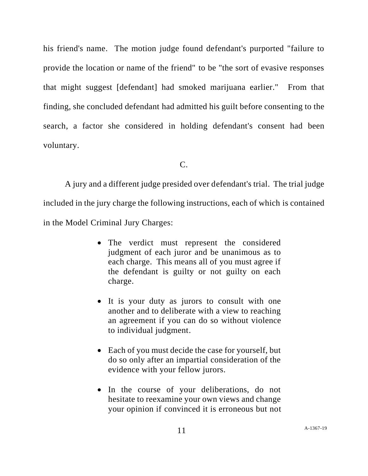his friend's name. The motion judge found defendant's purported "failure to provide the location or name of the friend" to be "the sort of evasive responses that might suggest [defendant] had smoked marijuana earlier." From that finding, she concluded defendant had admitted his guilt before consenting to the search, a factor she considered in holding defendant's consent had been voluntary.

 $C<sub>c</sub>$ 

A jury and a different judge presided over defendant's trial. The trial judge included in the jury charge the following instructions, each of which is contained in the Model Criminal Jury Charges:

- The verdict must represent the considered judgment of each juror and be unanimous as to each charge. This means all of you must agree if the defendant is guilty or not guilty on each charge.
- It is your duty as jurors to consult with one another and to deliberate with a view to reaching an agreement if you can do so without violence to individual judgment.
- Each of you must decide the case for yourself, but do so only after an impartial consideration of the evidence with your fellow jurors.
- In the course of your deliberations, do not hesitate to reexamine your own views and change your opinion if convinced it is erroneous but not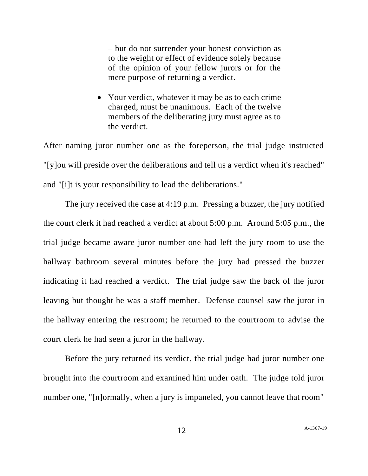– but do not surrender your honest conviction as to the weight or effect of evidence solely because of the opinion of your fellow jurors or for the mere purpose of returning a verdict.

• Your verdict, whatever it may be as to each crime charged, must be unanimous. Each of the twelve members of the deliberating jury must agree as to the verdict.

After naming juror number one as the foreperson, the trial judge instructed "[y]ou will preside over the deliberations and tell us a verdict when it's reached" and "[i]t is your responsibility to lead the deliberations."

The jury received the case at 4:19 p.m. Pressing a buzzer, the jury notified the court clerk it had reached a verdict at about 5:00 p.m. Around 5:05 p.m., the trial judge became aware juror number one had left the jury room to use the hallway bathroom several minutes before the jury had pressed the buzzer indicating it had reached a verdict. The trial judge saw the back of the juror leaving but thought he was a staff member. Defense counsel saw the juror in the hallway entering the restroom; he returned to the courtroom to advise the court clerk he had seen a juror in the hallway.

Before the jury returned its verdict, the trial judge had juror number one brought into the courtroom and examined him under oath. The judge told juror number one, "[n]ormally, when a jury is impaneled, you cannot leave that room"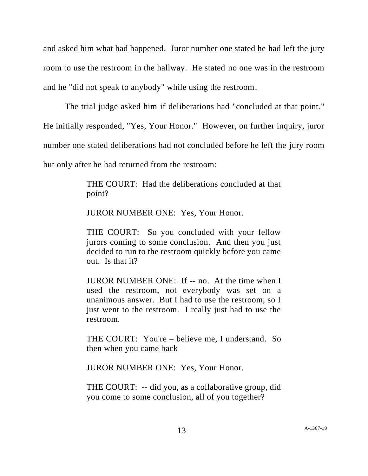and asked him what had happened. Juror number one stated he had left the jury room to use the restroom in the hallway. He stated no one was in the restroom and he "did not speak to anybody" while using the restroom.

The trial judge asked him if deliberations had "concluded at that point." He initially responded, "Yes, Your Honor." However, on further inquiry, juror number one stated deliberations had not concluded before he left the jury room but only after he had returned from the restroom:

> THE COURT: Had the deliberations concluded at that point?

JUROR NUMBER ONE: Yes, Your Honor.

THE COURT: So you concluded with your fellow jurors coming to some conclusion. And then you just decided to run to the restroom quickly before you came out. Is that it?

JUROR NUMBER ONE: If -- no. At the time when I used the restroom, not everybody was set on a unanimous answer. But I had to use the restroom, so I just went to the restroom. I really just had to use the restroom.

THE COURT: You're – believe me, I understand. So then when you came back –

JUROR NUMBER ONE: Yes, Your Honor.

THE COURT: -- did you, as a collaborative group, did you come to some conclusion, all of you together?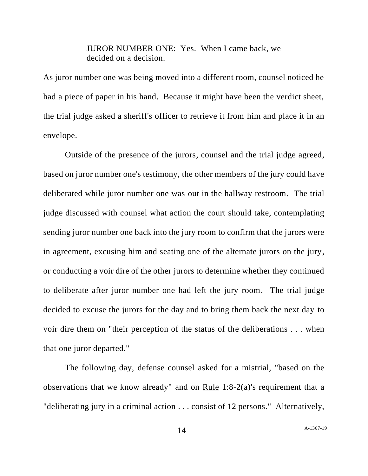JUROR NUMBER ONE: Yes. When I came back, we decided on a decision.

As juror number one was being moved into a different room, counsel noticed he had a piece of paper in his hand. Because it might have been the verdict sheet, the trial judge asked a sheriff's officer to retrieve it from him and place it in an envelope.

Outside of the presence of the jurors, counsel and the trial judge agreed, based on juror number one's testimony, the other members of the jury could have deliberated while juror number one was out in the hallway restroom. The trial judge discussed with counsel what action the court should take, contemplating sending juror number one back into the jury room to confirm that the jurors were in agreement, excusing him and seating one of the alternate jurors on the jury, or conducting a voir dire of the other jurors to determine whether they continued to deliberate after juror number one had left the jury room. The trial judge decided to excuse the jurors for the day and to bring them back the next day to voir dire them on "their perception of the status of the deliberations . . . when that one juror departed."

The following day, defense counsel asked for a mistrial, "based on the observations that we know already" and on Rule 1:8-2(a)'s requirement that a "deliberating jury in a criminal action . . . consist of 12 persons." Alternatively,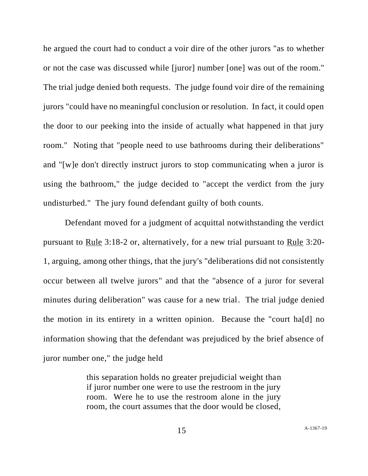he argued the court had to conduct a voir dire of the other jurors "as to whether or not the case was discussed while [juror] number [one] was out of the room." The trial judge denied both requests. The judge found voir dire of the remaining jurors "could have no meaningful conclusion or resolution. In fact, it could open the door to our peeking into the inside of actually what happened in that jury room." Noting that "people need to use bathrooms during their deliberations" and "[w]e don't directly instruct jurors to stop communicating when a juror is using the bathroom," the judge decided to "accept the verdict from the jury undisturbed." The jury found defendant guilty of both counts.

Defendant moved for a judgment of acquittal notwithstanding the verdict pursuant to Rule 3:18-2 or, alternatively, for a new trial pursuant to Rule 3:20- 1, arguing, among other things, that the jury's "deliberations did not consistently occur between all twelve jurors" and that the "absence of a juror for several minutes during deliberation" was cause for a new trial. The trial judge denied the motion in its entirety in a written opinion. Because the "court ha[d] no information showing that the defendant was prejudiced by the brief absence of juror number one," the judge held

> this separation holds no greater prejudicial weight than if juror number one were to use the restroom in the jury room. Were he to use the restroom alone in the jury room, the court assumes that the door would be closed,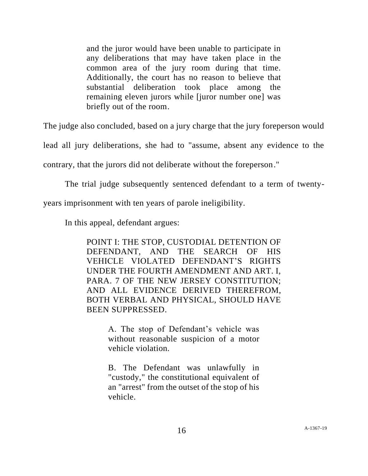and the juror would have been unable to participate in any deliberations that may have taken place in the common area of the jury room during that time. Additionally, the court has no reason to believe that substantial deliberation took place among the remaining eleven jurors while [juror number one] was briefly out of the room.

The judge also concluded, based on a jury charge that the jury foreperson would

lead all jury deliberations, she had to "assume, absent any evidence to the

contrary, that the jurors did not deliberate without the foreperson."

The trial judge subsequently sentenced defendant to a term of twenty-

years imprisonment with ten years of parole ineligibility.

In this appeal, defendant argues:

POINT I: THE STOP, CUSTODIAL DETENTION OF DEFENDANT, AND THE SEARCH OF HIS VEHICLE VIOLATED DEFENDANT'S RIGHTS UNDER THE FOURTH AMENDMENT AND ART. I, PARA. 7 OF THE NEW JERSEY CONSTITUTION; AND ALL EVIDENCE DERIVED THEREFROM, BOTH VERBAL AND PHYSICAL, SHOULD HAVE BEEN SUPPRESSED.

> A. The stop of Defendant's vehicle was without reasonable suspicion of a motor vehicle violation.

> B. The Defendant was unlawfully in "custody," the constitutional equivalent of an "arrest" from the outset of the stop of his vehicle.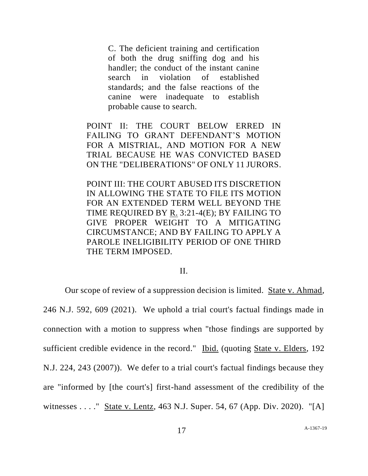C. The deficient training and certification of both the drug sniffing dog and his handler; the conduct of the instant canine search in violation of established standards; and the false reactions of the canine were inadequate to establish probable cause to search.

POINT II: THE COURT BELOW ERRED IN FAILING TO GRANT DEFENDANT'S MOTION FOR A MISTRIAL, AND MOTION FOR A NEW TRIAL BECAUSE HE WAS CONVICTED BASED ON THE "DELIBERATIONS" OF ONLY 11 JURORS.

POINT III: THE COURT ABUSED ITS DISCRETION IN ALLOWING THE STATE TO FILE ITS MOTION FOR AN EXTENDED TERM WELL BEYOND THE TIME REQUIRED BY R. 3:21-4(E); BY FAILING TO GIVE PROPER WEIGHT TO A MITIGATING CIRCUMSTANCE; AND BY FAILING TO APPLY A PAROLE INELIGIBILITY PERIOD OF ONE THIRD THE TERM IMPOSED.

#### II.

Our scope of review of a suppression decision is limited. State v. Ahmad, 246 N.J. 592, 609 (2021). We uphold a trial court's factual findings made in connection with a motion to suppress when "those findings are supported by sufficient credible evidence in the record." Ibid. (quoting State v. Elders, 192 N.J. 224, 243 (2007)). We defer to a trial court's factual findings because they are "informed by [the court's] first-hand assessment of the credibility of the witnesses . . . ." State v. Lentz, 463 N.J. Super. 54, 67 (App. Div. 2020). "[A]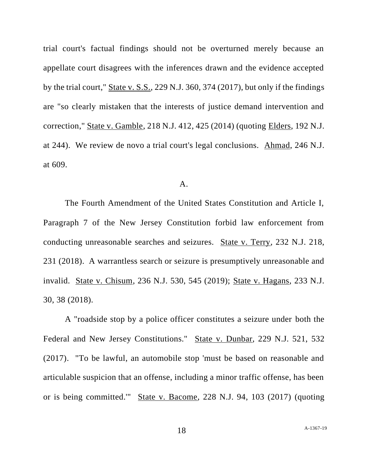trial court's factual findings should not be overturned merely because an appellate court disagrees with the inferences drawn and the evidence accepted by the trial court," State v. S.S., 229 N.J. 360, 374 (2017), but only if the findings are "so clearly mistaken that the interests of justice demand intervention and correction," State v. Gamble, 218 N.J. 412, 425 (2014) (quoting Elders, 192 N.J. at 244). We review de novo a trial court's legal conclusions. Ahmad, 246 N.J. at 609.

### A.

The Fourth Amendment of the United States Constitution and Article I, Paragraph 7 of the New Jersey Constitution forbid law enforcement from conducting unreasonable searches and seizures. State v. Terry, 232 N.J. 218, 231 (2018). A warrantless search or seizure is presumptively unreasonable and invalid. State v. Chisum, 236 N.J. 530, 545 (2019); State v. Hagans, 233 N.J. 30, 38 (2018).

A "roadside stop by a police officer constitutes a seizure under both the Federal and New Jersey Constitutions." State v. Dunbar, 229 N.J. 521, 532 (2017). "To be lawful, an automobile stop 'must be based on reasonable and articulable suspicion that an offense, including a minor traffic offense, has been or is being committed.'" State v. Bacome, 228 N.J. 94, 103 (2017) (quoting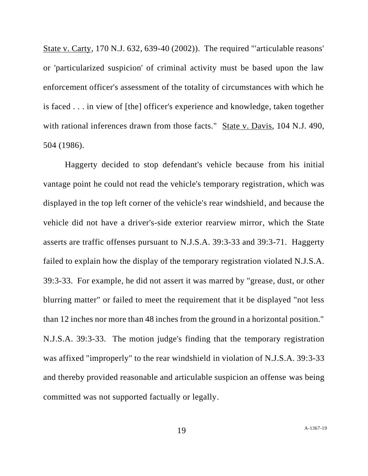State v. Carty, 170 N.J. 632, 639-40 (2002)). The required "'articulable reasons' or 'particularized suspicion' of criminal activity must be based upon the law enforcement officer's assessment of the totality of circumstances with which he is faced . . . in view of [the] officer's experience and knowledge, taken together with rational inferences drawn from those facts." State v. Davis, 104 N.J. 490, 504 (1986).

Haggerty decided to stop defendant's vehicle because from his initial vantage point he could not read the vehicle's temporary registration, which was displayed in the top left corner of the vehicle's rear windshield, and because the vehicle did not have a driver's-side exterior rearview mirror, which the State asserts are traffic offenses pursuant to N.J.S.A. 39:3-33 and 39:3-71. Haggerty failed to explain how the display of the temporary registration violated N.J.S.A. 39:3-33. For example, he did not assert it was marred by "grease, dust, or other blurring matter" or failed to meet the requirement that it be displayed "not less than 12 inches nor more than 48 inches from the ground in a horizontal position." N.J.S.A. 39:3-33. The motion judge's finding that the temporary registration was affixed "improperly" to the rear windshield in violation of N.J.S.A. 39:3-33 and thereby provided reasonable and articulable suspicion an offense was being committed was not supported factually or legally.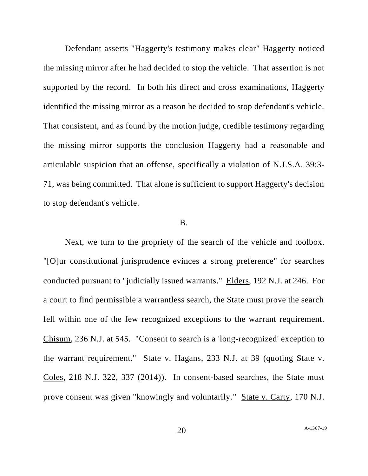Defendant asserts "Haggerty's testimony makes clear" Haggerty noticed the missing mirror after he had decided to stop the vehicle. That assertion is not supported by the record. In both his direct and cross examinations, Haggerty identified the missing mirror as a reason he decided to stop defendant's vehicle. That consistent, and as found by the motion judge, credible testimony regarding the missing mirror supports the conclusion Haggerty had a reasonable and articulable suspicion that an offense, specifically a violation of N.J.S.A. 39:3- 71, was being committed. That alone is sufficient to support Haggerty's decision to stop defendant's vehicle.

### B.

Next, we turn to the propriety of the search of the vehicle and toolbox. "[O]ur constitutional jurisprudence evinces a strong preference" for searches conducted pursuant to "judicially issued warrants." Elders, 192 N.J. at 246. For a court to find permissible a warrantless search, the State must prove the search fell within one of the few recognized exceptions to the warrant requirement. Chisum, 236 N.J. at 545. "Consent to search is a 'long-recognized' exception to the warrant requirement." State v. Hagans, 233 N.J. at 39 (quoting State v. Coles, 218 N.J. 322, 337 (2014)). In consent-based searches, the State must prove consent was given "knowingly and voluntarily." State v. Carty, 170 N.J.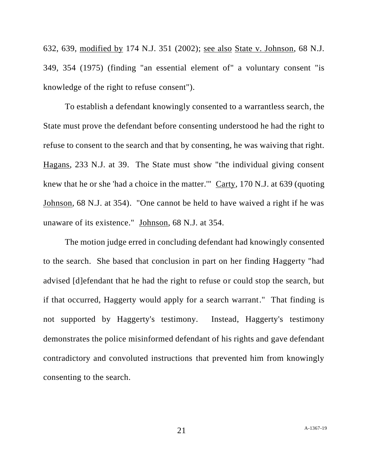632, 639, modified by 174 N.J. 351 (2002); see also State v. Johnson, 68 N.J. 349, 354 (1975) (finding "an essential element of" a voluntary consent "is knowledge of the right to refuse consent").

To establish a defendant knowingly consented to a warrantless search, the State must prove the defendant before consenting understood he had the right to refuse to consent to the search and that by consenting, he was waiving that right. Hagans, 233 N.J. at 39. The State must show "the individual giving consent knew that he or she 'had a choice in the matter.'" Carty, 170 N.J. at 639 (quoting Johnson, 68 N.J. at 354). "One cannot be held to have waived a right if he was unaware of its existence." Johnson, 68 N.J. at 354.

The motion judge erred in concluding defendant had knowingly consented to the search. She based that conclusion in part on her finding Haggerty "had advised [d]efendant that he had the right to refuse or could stop the search, but if that occurred, Haggerty would apply for a search warrant." That finding is not supported by Haggerty's testimony. Instead, Haggerty's testimony demonstrates the police misinformed defendant of his rights and gave defendant contradictory and convoluted instructions that prevented him from knowingly consenting to the search.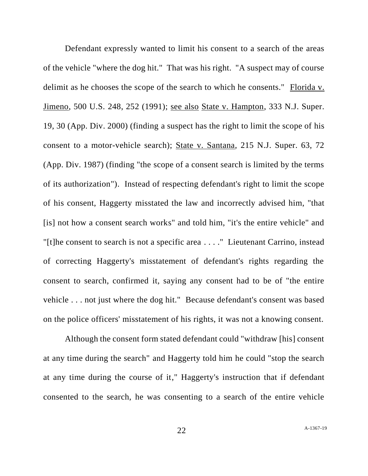Defendant expressly wanted to limit his consent to a search of the areas of the vehicle "where the dog hit." That was his right. "A suspect may of course delimit as he chooses the scope of the search to which he consents." Florida v. Jimeno, 500 U.S. 248, 252 (1991); see also State v. Hampton, 333 N.J. Super. 19, 30 (App. Div. 2000) (finding a suspect has the right to limit the scope of his consent to a motor-vehicle search); State v. Santana, 215 N.J. Super. 63, 72 (App. Div. 1987) (finding "the scope of a consent search is limited by the terms of its authorization"). Instead of respecting defendant's right to limit the scope of his consent, Haggerty misstated the law and incorrectly advised him, "that [is] not how a consent search works" and told him, "it's the entire vehicle" and "[t]he consent to search is not a specific area . . . ." Lieutenant Carrino, instead of correcting Haggerty's misstatement of defendant's rights regarding the consent to search, confirmed it, saying any consent had to be of "the entire vehicle . . . not just where the dog hit." Because defendant's consent was based on the police officers' misstatement of his rights, it was not a knowing consent.

Although the consent form stated defendant could "withdraw [his] consent at any time during the search" and Haggerty told him he could "stop the search at any time during the course of it," Haggerty's instruction that if defendant consented to the search, he was consenting to a search of the entire vehicle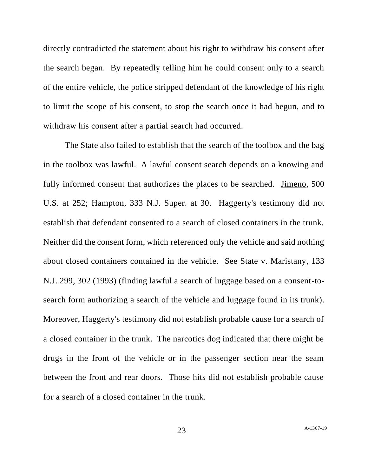directly contradicted the statement about his right to withdraw his consent after the search began. By repeatedly telling him he could consent only to a search of the entire vehicle, the police stripped defendant of the knowledge of his right to limit the scope of his consent, to stop the search once it had begun, and to withdraw his consent after a partial search had occurred.

The State also failed to establish that the search of the toolbox and the bag in the toolbox was lawful. A lawful consent search depends on a knowing and fully informed consent that authorizes the places to be searched. Jimeno, 500 U.S. at 252; Hampton, 333 N.J. Super. at 30. Haggerty's testimony did not establish that defendant consented to a search of closed containers in the trunk. Neither did the consent form, which referenced only the vehicle and said nothing about closed containers contained in the vehicle. See State v. Maristany, 133 N.J. 299, 302 (1993) (finding lawful a search of luggage based on a consent-tosearch form authorizing a search of the vehicle and luggage found in its trunk). Moreover, Haggerty's testimony did not establish probable cause for a search of a closed container in the trunk. The narcotics dog indicated that there might be drugs in the front of the vehicle or in the passenger section near the seam between the front and rear doors. Those hits did not establish probable cause for a search of a closed container in the trunk.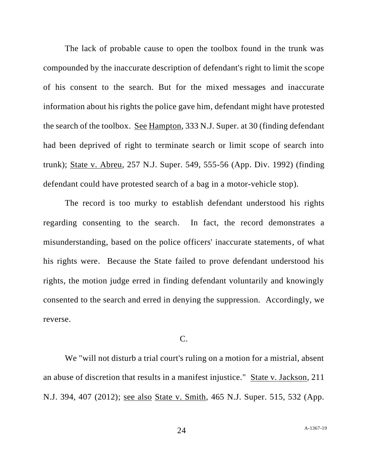The lack of probable cause to open the toolbox found in the trunk was compounded by the inaccurate description of defendant's right to limit the scope of his consent to the search. But for the mixed messages and inaccurate information about his rights the police gave him, defendant might have protested the search of the toolbox. See Hampton, 333 N.J. Super. at 30 (finding defendant had been deprived of right to terminate search or limit scope of search into trunk); State v. Abreu, 257 N.J. Super. 549, 555-56 (App. Div. 1992) (finding defendant could have protested search of a bag in a motor-vehicle stop).

The record is too murky to establish defendant understood his rights regarding consenting to the search. In fact, the record demonstrates a misunderstanding, based on the police officers' inaccurate statements, of what his rights were. Because the State failed to prove defendant understood his rights, the motion judge erred in finding defendant voluntarily and knowingly consented to the search and erred in denying the suppression. Accordingly, we reverse.

## C.

We "will not disturb a trial court's ruling on a motion for a mistrial, absent an abuse of discretion that results in a manifest injustice." State v. Jackson, 211 N.J. 394, 407 (2012); see also State v. Smith, 465 N.J. Super. 515, 532 (App.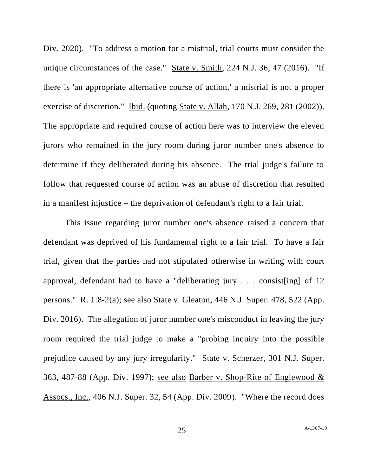Div. 2020). "To address a motion for a mistrial, trial courts must consider the unique circumstances of the case." State v. Smith, 224 N.J. 36, 47 (2016). "If there is 'an appropriate alternative course of action,' a mistrial is not a proper exercise of discretion." Ibid. (quoting State v. Allah, 170 N.J. 269, 281 (2002)). The appropriate and required course of action here was to interview the eleven jurors who remained in the jury room during juror number one's absence to determine if they deliberated during his absence. The trial judge's failure to follow that requested course of action was an abuse of discretion that resulted in a manifest injustice – the deprivation of defendant's right to a fair trial.

This issue regarding juror number one's absence raised a concern that defendant was deprived of his fundamental right to a fair trial. To have a fair trial, given that the parties had not stipulated otherwise in writing with court approval, defendant had to have a "deliberating jury . . . consist[ing] of 12 persons." R. 1:8-2(a); see also State v. Gleaton, 446 N.J. Super. 478, 522 (App. Div. 2016). The allegation of juror number one's misconduct in leaving the jury room required the trial judge to make a "probing inquiry into the possible prejudice caused by any jury irregularity." State v. Scherzer, 301 N.J. Super. 363, 487-88 (App. Div. 1997); see also Barber v. Shop-Rite of Englewood & Assocs., Inc., 406 N.J. Super. 32, 54 (App. Div. 2009). "Where the record does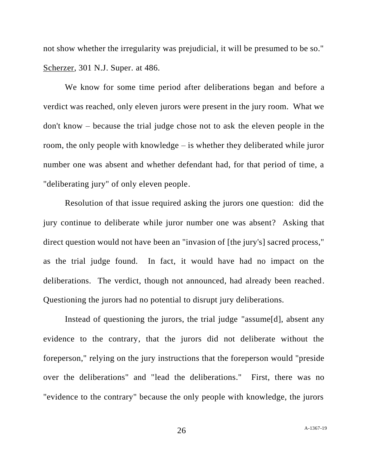not show whether the irregularity was prejudicial, it will be presumed to be so." Scherzer, 301 N.J. Super. at 486.

We know for some time period after deliberations began and before a verdict was reached, only eleven jurors were present in the jury room. What we don't know – because the trial judge chose not to ask the eleven people in the room, the only people with knowledge – is whether they deliberated while juror number one was absent and whether defendant had, for that period of time, a "deliberating jury" of only eleven people.

Resolution of that issue required asking the jurors one question: did the jury continue to deliberate while juror number one was absent? Asking that direct question would not have been an "invasion of [the jury's] sacred process," as the trial judge found. In fact, it would have had no impact on the deliberations. The verdict, though not announced, had already been reached. Questioning the jurors had no potential to disrupt jury deliberations.

Instead of questioning the jurors, the trial judge "assume[d], absent any evidence to the contrary, that the jurors did not deliberate without the foreperson," relying on the jury instructions that the foreperson would "preside over the deliberations" and "lead the deliberations." First, there was no "evidence to the contrary" because the only people with knowledge, the jurors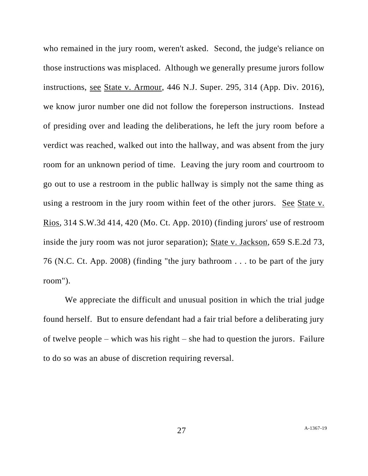who remained in the jury room, weren't asked. Second, the judge's reliance on those instructions was misplaced. Although we generally presume jurors follow instructions, see State v. Armour, 446 N.J. Super. 295, 314 (App. Div. 2016), we know juror number one did not follow the foreperson instructions. Instead of presiding over and leading the deliberations, he left the jury room before a verdict was reached, walked out into the hallway, and was absent from the jury room for an unknown period of time. Leaving the jury room and courtroom to go out to use a restroom in the public hallway is simply not the same thing as using a restroom in the jury room within feet of the other jurors. See State v. Rios, 314 S.W.3d 414, 420 (Mo. Ct. App. 2010) (finding jurors' use of restroom inside the jury room was not juror separation); State v. Jackson, 659 S.E.2d 73, 76 (N.C. Ct. App. 2008) (finding "the jury bathroom . . . to be part of the jury room").

We appreciate the difficult and unusual position in which the trial judge found herself. But to ensure defendant had a fair trial before a deliberating jury of twelve people – which was his right – she had to question the jurors. Failure to do so was an abuse of discretion requiring reversal.